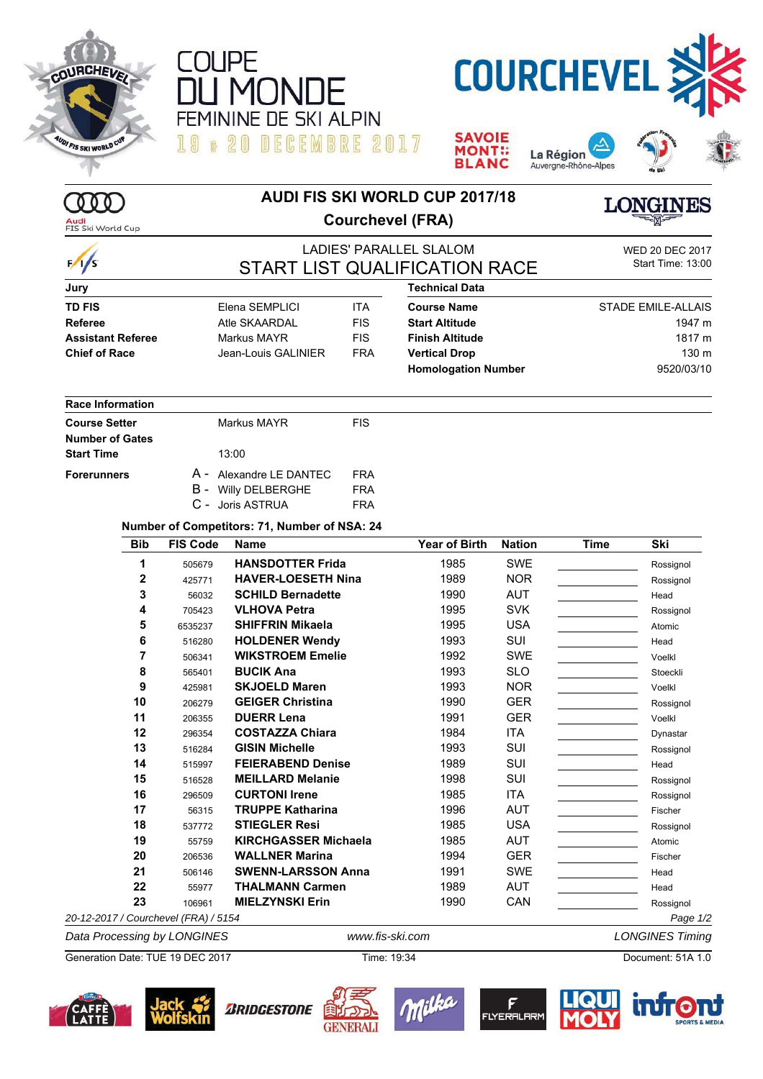

000

 $\frac{1}{s}$ 

Audi<br>FIS Ski World Cup











## **AUDI FIS SKI WORLD CUP 2017/18 Courchevel (FRA)**

**LONGINES** 

## LADIES' PARALLEL SLALOM WED 20 DEC 2017 START LIST QUALIFICATION RACE

| <b>SMILTIME TO.UU</b>      |  |  |
|----------------------------|--|--|
|                            |  |  |
| 2T A D E E M I E A I E A E |  |  |

| Jury              |                     |     |
|-------------------|---------------------|-----|
| TD FIS            | Elena SEMPLICI      | ITA |
| Referee           | Atle SKAARDAL       | FIS |
| Assistant Referee | Markus MAYR         | FIS |
| Chief of Race     | Jean-Louis GALINIER | FR/ |
|                   |                     |     |

| <b>Course Name</b>     | ITA |   |
|------------------------|-----|---|
| <b>Start Altitude</b>  | FIS |   |
| <b>Finish Altitude</b> | FIS |   |
| <b>Vertical Drop</b>   | FRA | R |
| <b>Homologation Nu</b> |     |   |

**Technical Data**

| Course Name                | <b>STADE EMILE-ALLAIS</b> |
|----------------------------|---------------------------|
| Start Altitude             | 1947 m                    |
| Finish Altitude            | 1817 m                    |
| Vertical Drop              | 130 m                     |
| <b>Homologation Number</b> | 9520/03/10                |

# **Start Altitude** 1947 m **Finish Altitude** 1817 m **Homologation Number** 9520/03/10

### **Race Information**

| <b>Course Setter</b>   | Markus MAYR                | <b>FIS</b> |
|------------------------|----------------------------|------------|
| <b>Number of Gates</b> |                            |            |
| <b>Start Time</b>      | 13:00                      |            |
| <b>Forerunners</b>     | A - Alexandre LE DANTEC    | FRA        |
|                        | <b>B</b> - Willy DELBERGHE | <b>FRA</b> |
|                        | C - Joris ASTRUA           | FRA        |

#### **Number of Competitors: 71, Number of NSA: 24**

| <b>Bib</b>   | <b>FIS Code</b> | <b>Name</b>                 | Year of Birth | <b>Nation</b> | <b>Time</b> | Ski       |
|--------------|-----------------|-----------------------------|---------------|---------------|-------------|-----------|
| 1            | 505679          | <b>HANSDOTTER Frida</b>     | 1985          | SWE           |             | Rossignol |
| $\mathbf{2}$ | 425771          | <b>HAVER-LOESETH Nina</b>   | 1989          | <b>NOR</b>    |             | Rossignol |
| 3            | 56032           | <b>SCHILD Bernadette</b>    | 1990          | <b>AUT</b>    |             | Head      |
| 4            | 705423          | <b>VLHOVA Petra</b>         | 1995          | <b>SVK</b>    |             | Rossignol |
| 5            | 6535237         | <b>SHIFFRIN Mikaela</b>     | 1995          | <b>USA</b>    |             | Atomic    |
| 6            | 516280          | <b>HOLDENER Wendy</b>       | 1993          | SUI           |             | Head      |
|              | 506341          | <b>WIKSTROEM Emelie</b>     | 1992          | SWE           |             | Voelkl    |
| 8            | 565401          | <b>BUCIK Ana</b>            | 1993          | <b>SLO</b>    |             | Stoeckli  |
| 9            | 425981          | <b>SKJOELD Maren</b>        | 1993          | <b>NOR</b>    |             | Voelkl    |
| 10           | 206279          | <b>GEIGER Christina</b>     | 1990          | <b>GER</b>    |             | Rossignol |
| 11           | 206355          | <b>DUERR Lena</b>           | 1991          | <b>GER</b>    |             | Voelkl    |
| 12           | 296354          | <b>COSTAZZA Chiara</b>      | 1984          | <b>ITA</b>    |             | Dynastar  |
| 13           | 516284          | <b>GISIN Michelle</b>       | 1993          | SUI           |             | Rossignol |
| 14           | 515997          | <b>FEIERABEND Denise</b>    | 1989          | SUI           |             | Head      |
| 15           | 516528          | <b>MEILLARD Melanie</b>     | 1998          | SUI           |             | Rossignol |
| 16           | 296509          | <b>CURTONI Irene</b>        | 1985          | ITA           |             | Rossignol |
| 17           | 56315           | <b>TRUPPE Katharina</b>     | 1996          | <b>AUT</b>    |             | Fischer   |
| 18           | 537772          | <b>STIEGLER Resi</b>        | 1985          | <b>USA</b>    |             | Rossignol |
| 19           | 55759           | <b>KIRCHGASSER Michaela</b> | 1985          | <b>AUT</b>    |             | Atomic    |
| 20           | 206536          | <b>WALLNER Marina</b>       | 1994          | <b>GER</b>    |             | Fischer   |
| 21           | 506146          | <b>SWENN-LARSSON Anna</b>   | 1991          | SWE           |             | Head      |
| 22           | 55977           | <b>THALMANN Carmen</b>      | 1989          | <b>AUT</b>    |             | Head      |
| 23           | 106961          | <b>MIELZYNSKI Erin</b>      | 1990          | CAN           |             | Rossignol |

*Data Processing by LONGINES www.fis-ski.com LONGINES Timing*

Generation Date: TUE 19 DEC 2017 Time: 19:34 Document: 51A 1.0